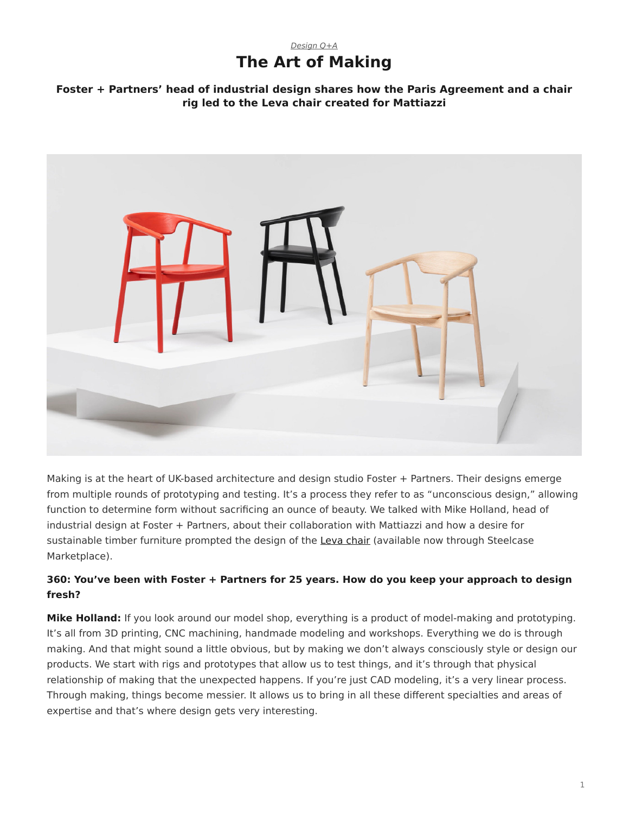# *[Design Q+A](https://www.steelcase.com/research/topics/design-q-a/)* **The Art of Making**

### <span id="page-0-0"></span>**Foster + Partners' head of industrial design shares how the Paris Agreement and a chair rig led to the Leva chair created for Mattiazzi**



Making is at the heart of UK-based architecture and design studio Foster + Partners. Their designs emerge from multiple rounds of prototyping and testing. It's a process they refer to as "unconscious design," allowing function to determine form without sacrificing an ounce of beauty. We talked with Mike Holland, head of industrial design at Foster + Partners, about their collaboration with Mattiazzi and how a desire for sustainable timber furniture prompted the design of the [Leva chair](https://www.steelcase.com/products/guest-chairs-stools/leva-armchair/) (available now through Steelcase Marketplace).

### **360: You've been with Foster + Partners for 25 years. How do you keep your approach to design fresh?**

**Mike Holland:** If you look around our model shop, everything is a product of model-making and prototyping. It's all from 3D printing, CNC machining, handmade modeling and workshops. Everything we do is through making. And that might sound a little obvious, but by making we don't always consciously style or design our products. We start with rigs and prototypes that allow us to test things, and it's through that physical relationship of making that the unexpected happens. If you're just CAD modeling, it's a very linear process. Through making, things become messier. It allows us to bring in all these different specialties and areas of expertise and that's where design gets very interesting.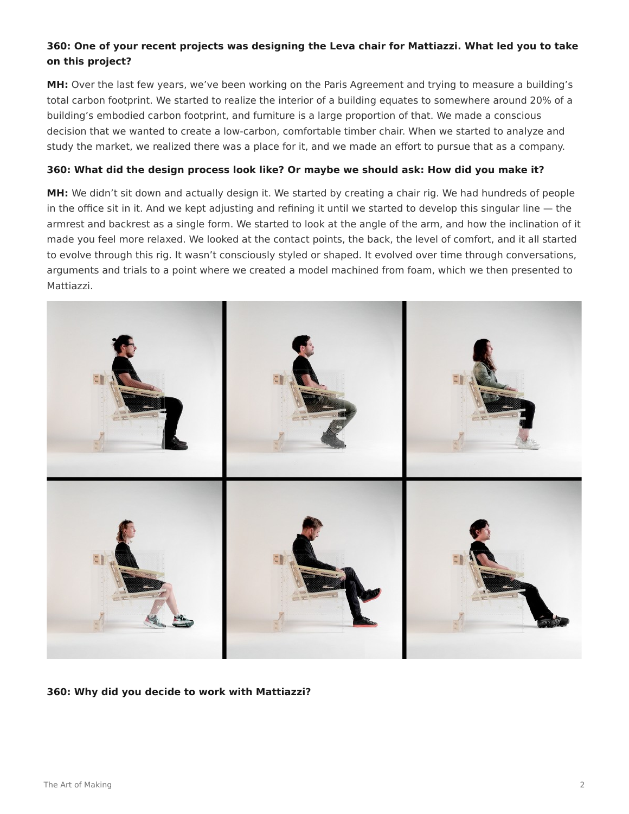### **360: One of your recent projects was designing the Leva chair for Mattiazzi. What led you to take on this project?**

**MH:** Over the last few years, we've been working on the Paris Agreement and trying to measure a building's total carbon footprint. We started to realize the interior of a building equates to somewhere around 20% of a building's embodied carbon footprint, and furniture is a large proportion of that. We made a conscious decision that we wanted to create a low-carbon, comfortable timber chair. When we started to analyze and study the market, we realized there was a place for it, and we made an effort to pursue that as a company.

#### **360: What did the design process look like? Or maybe we should ask: How did you make it?**

**MH:** We didn't sit down and actually design it. We started by creating a chair rig. We had hundreds of people in the office sit in it. And we kept adjusting and refining it until we started to develop this singular line — the armrest and backrest as a single form. We started to look at the angle of the arm, and how the inclination of it made you feel more relaxed. We looked at the contact points, the back, the level of comfort, and it all started to evolve through this rig. It wasn't consciously styled or shaped. It evolved over time through conversations, arguments and trials to a point where we created a model machined from foam, which we then presented to Mattiazzi.



#### **360: Why did you decide to work with Mattiazzi?**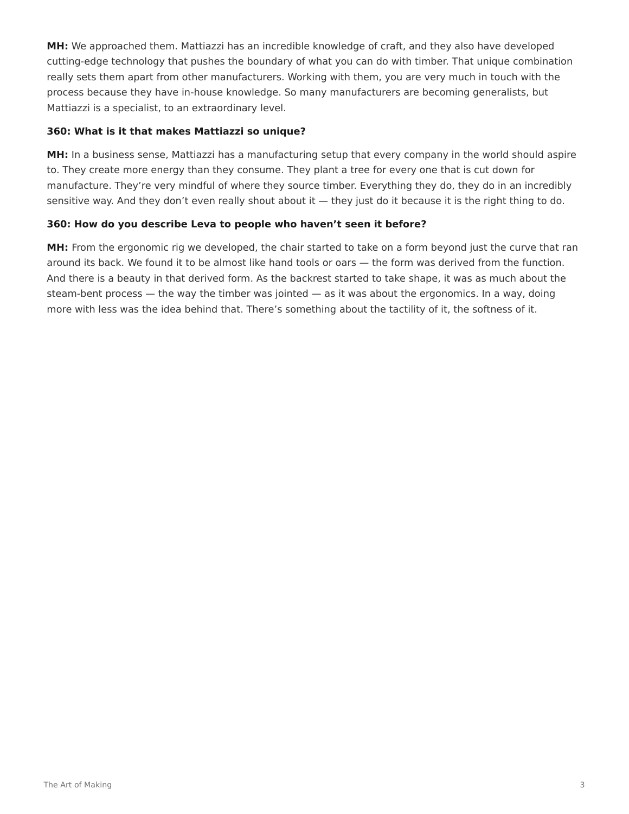**MH:** We approached them. Mattiazzi has an incredible knowledge of craft, and they also have developed cutting-edge technology that pushes the boundary of what you can do with timber. That unique combination really sets them apart from other manufacturers. Working with them, you are very much in touch with the process because they have in-house knowledge. So many manufacturers are becoming generalists, but Mattiazzi is a specialist, to an extraordinary level.

#### **360: What is it that makes Mattiazzi so unique?**

**MH:** In a business sense, Mattiazzi has a manufacturing setup that every company in the world should aspire to. They create more energy than they consume. They plant a tree for every one that is cut down for manufacture. They're very mindful of where they source timber. Everything they do, they do in an incredibly sensitive way. And they don't even really shout about it — they just do it because it is the right thing to do.

### **360: How do you describe Leva to people who haven't seen it before?**

**MH:** From the ergonomic rig we developed, the chair started to take on a form beyond just the curve that ran around its back. We found it to be almost like hand tools or oars — the form was derived from the function. And there is a beauty in that derived form. As the backrest started to take shape, it was as much about the steam-bent process — the way the timber was jointed — as it was about the ergonomics. In a way, doing more with less was the idea behind that. There's something about the tactility of it, the softness of it.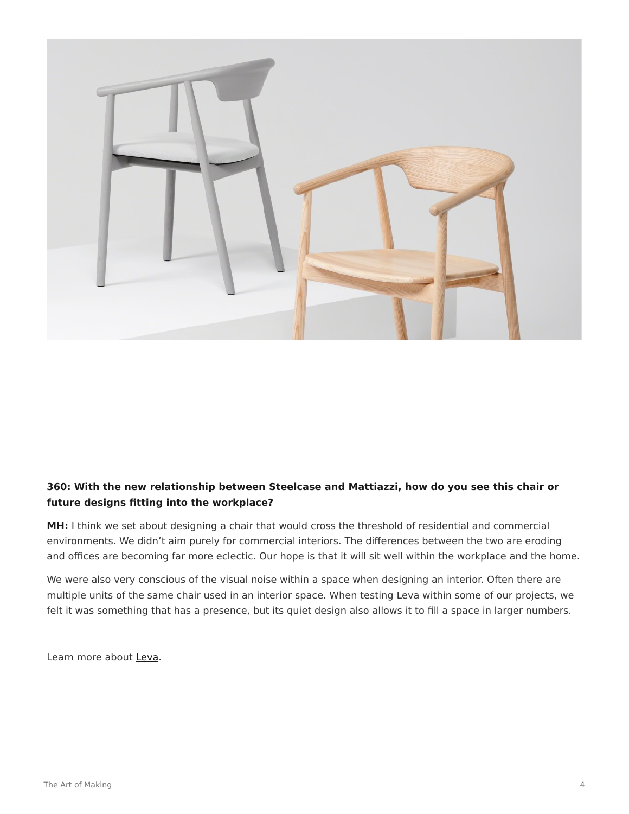

## **360: With the new relationship between Steelcase and Mattiazzi, how do you see this chair or future designs fitting into the workplace?**

**MH:** I think we set about designing a chair that would cross the threshold of residential and commercial environments. We didn't aim purely for commercial interiors. The differences between the two are eroding and offices are becoming far more eclectic. Our hope is that it will sit well within the workplace and the home.

We were also very conscious of the visual noise within a space when designing an interior. Often there are multiple units of the same chair used in an interior space. When testing Leva within some of our projects, we felt it was something that has a presence, but its quiet design also allows it to fill a space in larger numbers.

Learn more about [Leva](https://www.steelcase.com/products/guest-chairs-stools/leva-armchair/).